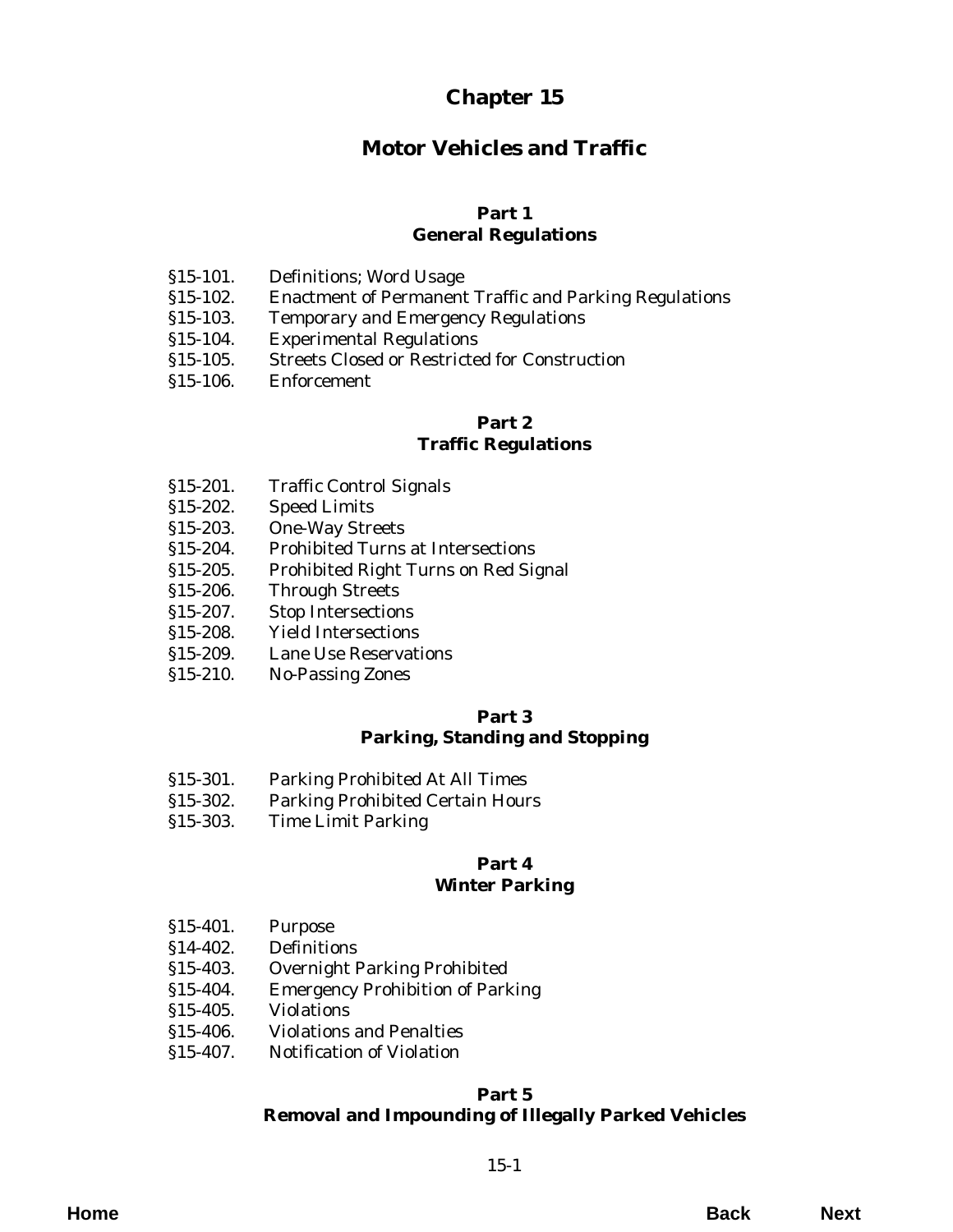# **Chapter 15**

# **Motor Vehicles and Traffic**

# **Part 1 General Regulations**

- §15-101. Definitions; Word Usage
- [§15-102. Enactment of Permanent Traffic and Parking Regulations](#page-2-0)
- §15-103. Temporary and Emergency Regulations
- §15-104. Experimental Regulations
- [§15-105. Streets Closed or Restricted for Construction](#page-3-0)
- §15-106. Enforcement

# **Part 2**

# **Traffic Regulations**

- §15-201. Traffic Control Signals
- §15-202. Speed Limits
- §15-203. One-Way Streets
- §15-204. Prohibited Turns at Intersections
- [§15-205. Prohibited Right Turns on Red Signal](#page-4-0)
- §15-206. Through Streets
- §15-207. Stop Intersections
- §15-208. Yield Intersections
- [§15-209. Lane Use Reservations](#page-5-0)
- §15-210. No-Passing Zones

#### **Part 3 Parking, Standing and Stopping**

- §15-301. Parking Prohibited At All Times
- [§15-302. Parking Prohibited Certain Hours](#page-6-0)
- §15-303. Time Limit Parking

#### **Part 4 Winter Parking**

- §15-401. Purpose
- §14-402. Definitions
- §15-403. Overnight Parking Prohibited
- [§15-404. Emergency Prohibition of Parking](#page-8-0)
- §15-405. Violations
- [§15-406. Violations and Penalties](#page-9-0)
- §15-407. Notification of Violation

# **Part 5 [Removal and Impounding of Illegally Parked Vehicles](#page-10-0)**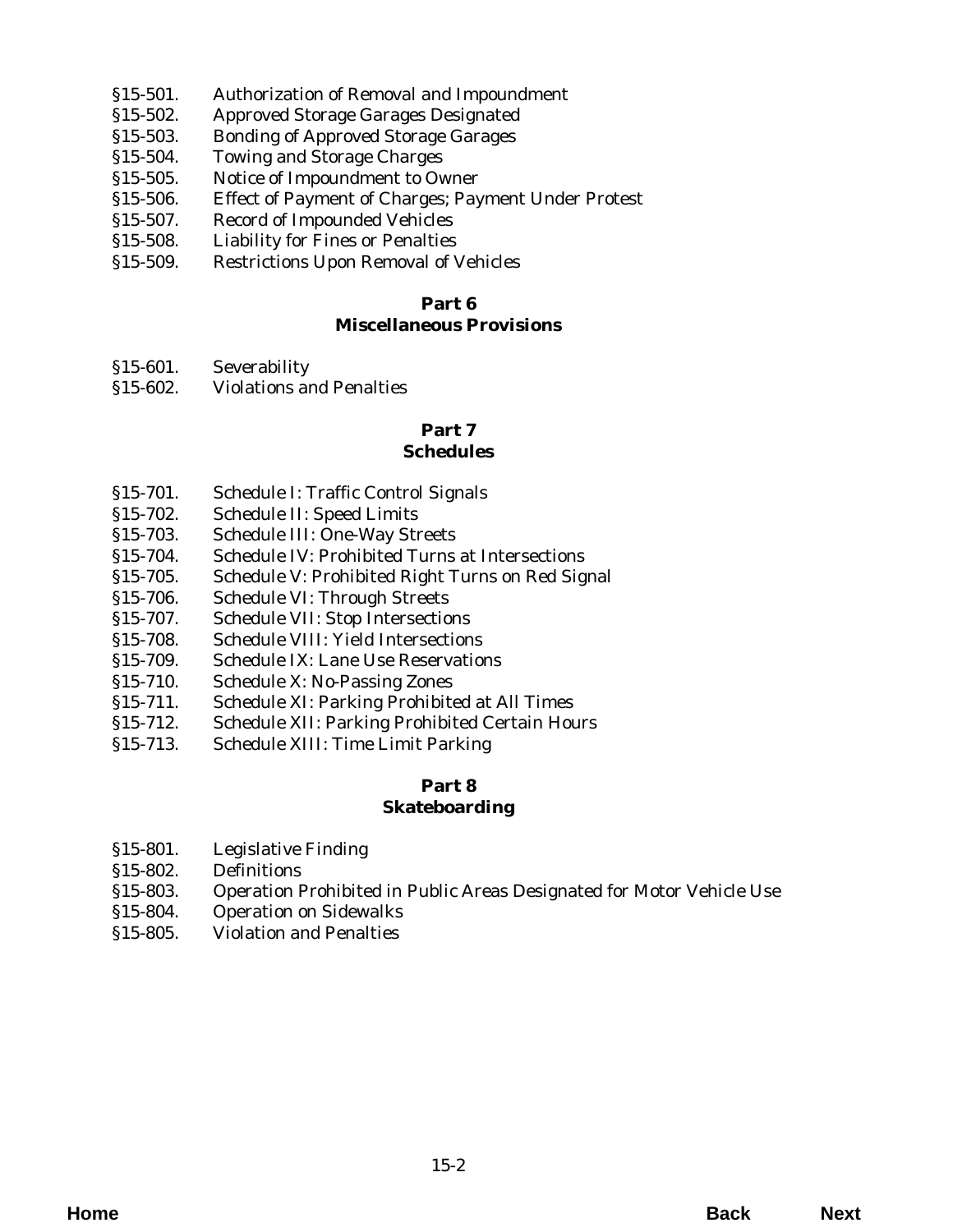- §15-501. Authorization of Removal and Impoundment
- §15-502. Approved Storage Garages Designated
- §15-503. Bonding of Approved Storage Garages
- §15-504. Towing and Storage Charges
- §15-505. Notice of Impoundment to Owner
- [§15-506. Effect of Payment of Charges; Payment Under Protest](#page-10-0)
- §15-507. Record of Impounded Vehicles
- §15-508. Liability for Fines or Penalties
- [§15-509. Restrictions Upon Removal of Vehicles](#page-11-0)

# **Miscellaneous Provisions**

- §15-601. Severability
- [§15-602. Violations and Penalties](#page-12-0)

# **Part 7**

# **Schedules**

- §15-701. Schedule I: Traffic Control Signals
- §15-702. Schedule II: Speed Limits
- §15-703. Schedule III: One-Way Streets
- §15-704. Schedule IV: Prohibited Turns at Intersections
- [§15-705. Schedule V: Prohibited Right Turns on Red Signal](#page-14-0)
- §15-706. Schedule VI: Through Streets
- [§15-707. Schedule VII: Stop Intersections](#page-15-0)
- §15-708. Schedule VIII: Yield Intersections
- [§15-709. Schedule IX: Lane Use Reservations](#page-17-0)
- §15-710. Schedule X: No-Passing Zones
- [§15-711. Schedule XI: Parking Prohibited at All Times](#page-18-0)
- [§15-712. Schedule XII: Parking Prohibited Certain Hours](#page-19-0)
- §15-713. Schedule XIII: Time Limit Parking

# **Part 8 Skateboarding**

- §15-801. Legislative Finding
- §15-802. Definitions
- [§15-803. Operation Prohibited in Public Areas Designated for Motor Vehicle Use](#page-20-0)
- §15-804. Operation on Sidewalks
- §15-805. Violation and Penalties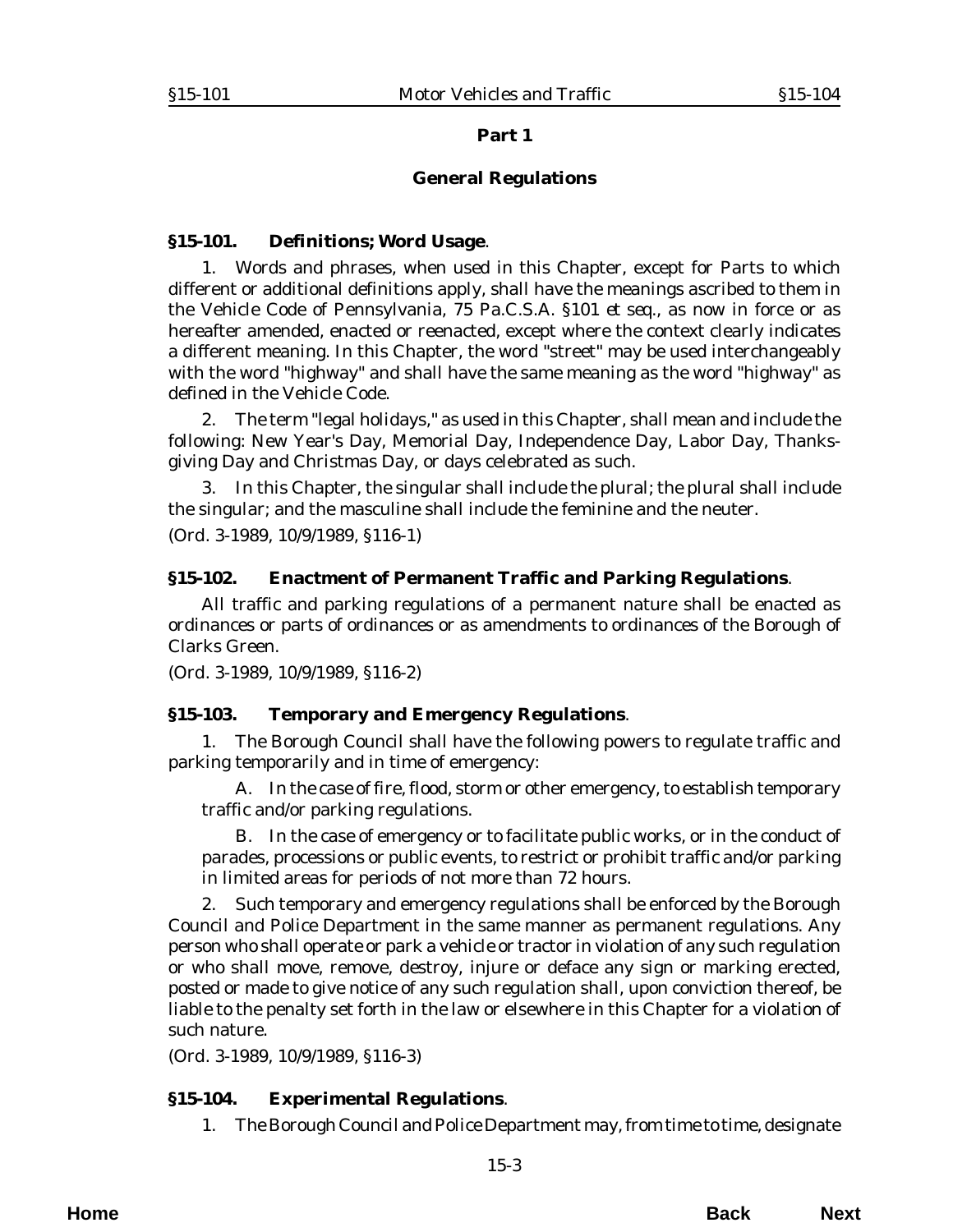#### **General Regulations**

#### <span id="page-2-0"></span>**§15-101. Definitions; Word Usage**.

1. Words and phrases, when used in this Chapter, except for Parts to which different or additional definitions apply, shall have the meanings ascribed to them in the Vehicle Code of Pennsylvania, 75 Pa.C.S.A. §101 *et seq*., as now in force or as hereafter amended, enacted or reenacted, except where the context clearly indicates a different meaning. In this Chapter, the word "street" may be used interchangeably with the word "highway" and shall have the same meaning as the word "highway" as defined in the Vehicle Code.

2. The term "legal holidays," as used in this Chapter, shall mean and include the following: New Year's Day, Memorial Day, Independence Day, Labor Day, Thanksgiving Day and Christmas Day, or days celebrated as such.

3. In this Chapter, the singular shall include the plural; the plural shall include the singular; and the masculine shall include the feminine and the neuter. (*Ord. 3-1989*, 10/9/1989, §116-1)

#### **§15-102. Enactment of Permanent Traffic and Parking Regulations**.

All traffic and parking regulations of a permanent nature shall be enacted as ordinances or parts of ordinances or as amendments to ordinances of the Borough of Clarks Green.

(*Ord. 3-1989*, 10/9/1989, §116-2)

#### **§15-103. Temporary and Emergency Regulations**.

1. The Borough Council shall have the following powers to regulate traffic and parking temporarily and in time of emergency:

A. In the case of fire, flood, storm or other emergency, to establish temporary traffic and/or parking regulations.

B. In the case of emergency or to facilitate public works, or in the conduct of parades, processions or public events, to restrict or prohibit traffic and/or parking in limited areas for periods of not more than 72 hours.

2. Such temporary and emergency regulations shall be enforced by the Borough Council and Police Department in the same manner as permanent regulations. Any person who shall operate or park a vehicle or tractor in violation of any such regulation or who shall move, remove, destroy, injure or deface any sign or marking erected, posted or made to give notice of any such regulation shall, upon conviction thereof, be liable to the penalty set forth in the law or elsewhere in this Chapter for a violation of such nature.

(*Ord. 3-1989*, 10/9/1989, §116-3)

# **§15-104. Experimental Regulations**.

1. The Borough Council and Police Department may, from time to time, designate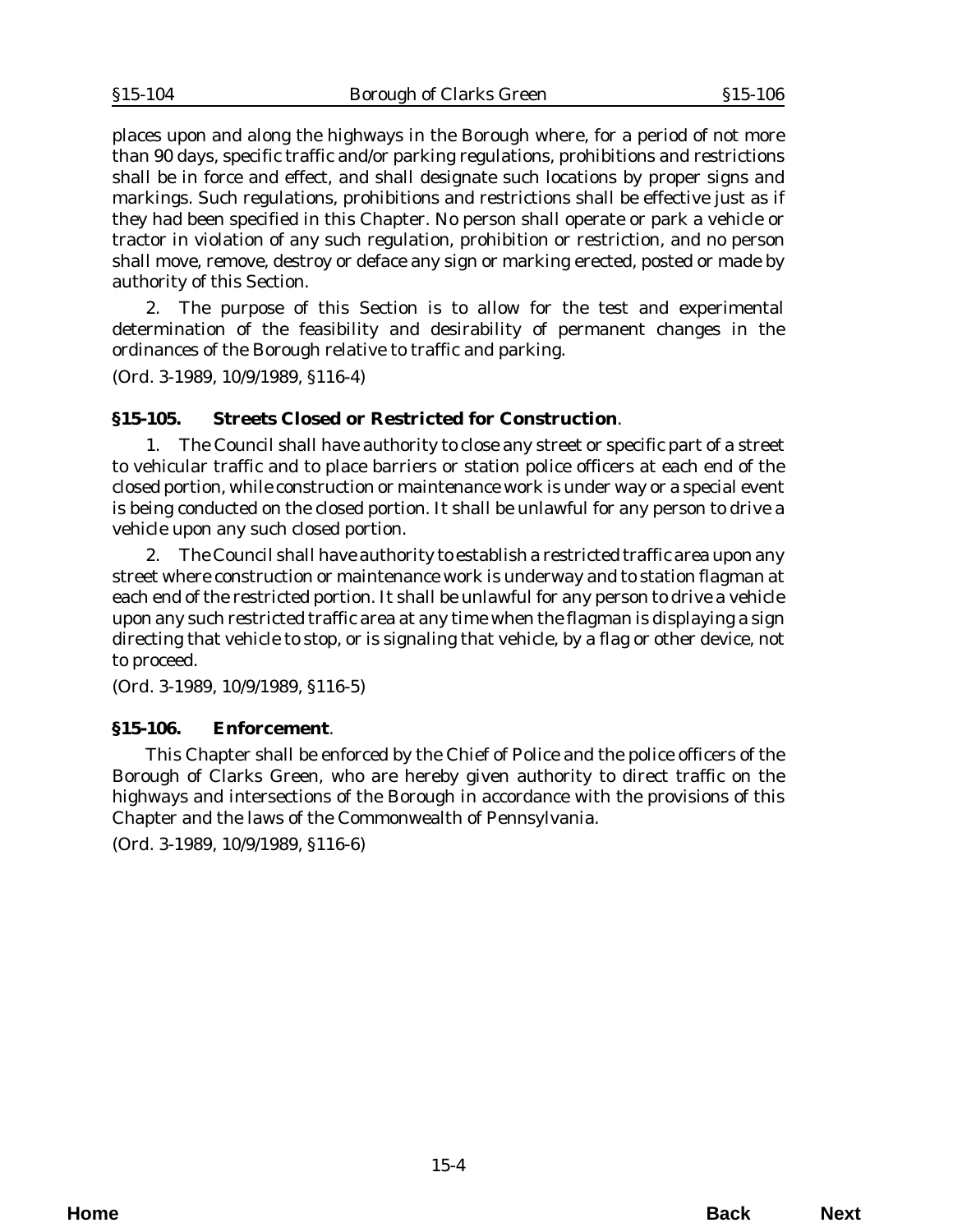<span id="page-3-0"></span>places upon and along the highways in the Borough where, for a period of not more than 90 days, specific traffic and/or parking regulations, prohibitions and restrictions shall be in force and effect, and shall designate such locations by proper signs and markings. Such regulations, prohibitions and restrictions shall be effective just as if they had been specified in this Chapter. No person shall operate or park a vehicle or tractor in violation of any such regulation, prohibition or restriction, and no person shall move, remove, destroy or deface any sign or marking erected, posted or made by authority of this Section.

2. The purpose of this Section is to allow for the test and experimental determination of the feasibility and desirability of permanent changes in the ordinances of the Borough relative to traffic and parking.

(*Ord. 3-1989*, 10/9/1989, §116-4)

# **§15-105. Streets Closed or Restricted for Construction**.

1. The Council shall have authority to close any street or specific part of a street to vehicular traffic and to place barriers or station police officers at each end of the closed portion, while construction or maintenance work is under way or a special event is being conducted on the closed portion. It shall be unlawful for any person to drive a vehicle upon any such closed portion.

2. The Council shall have authority to establish a restricted traffic area upon any street where construction or maintenance work is underway and to station flagman at each end of the restricted portion. It shall be unlawful for any person to drive a vehicle upon any such restricted traffic area at any time when the flagman is displaying a sign directing that vehicle to stop, or is signaling that vehicle, by a flag or other device, not to proceed.

(*Ord. 3-1989*, 10/9/1989, §116-5)

#### **§15-106. Enforcement**.

This Chapter shall be enforced by the Chief of Police and the police officers of the Borough of Clarks Green, who are hereby given authority to direct traffic on the highways and intersections of the Borough in accordance with the provisions of this Chapter and the laws of the Commonwealth of Pennsylvania.

(*Ord. 3-1989*, 10/9/1989, §116-6)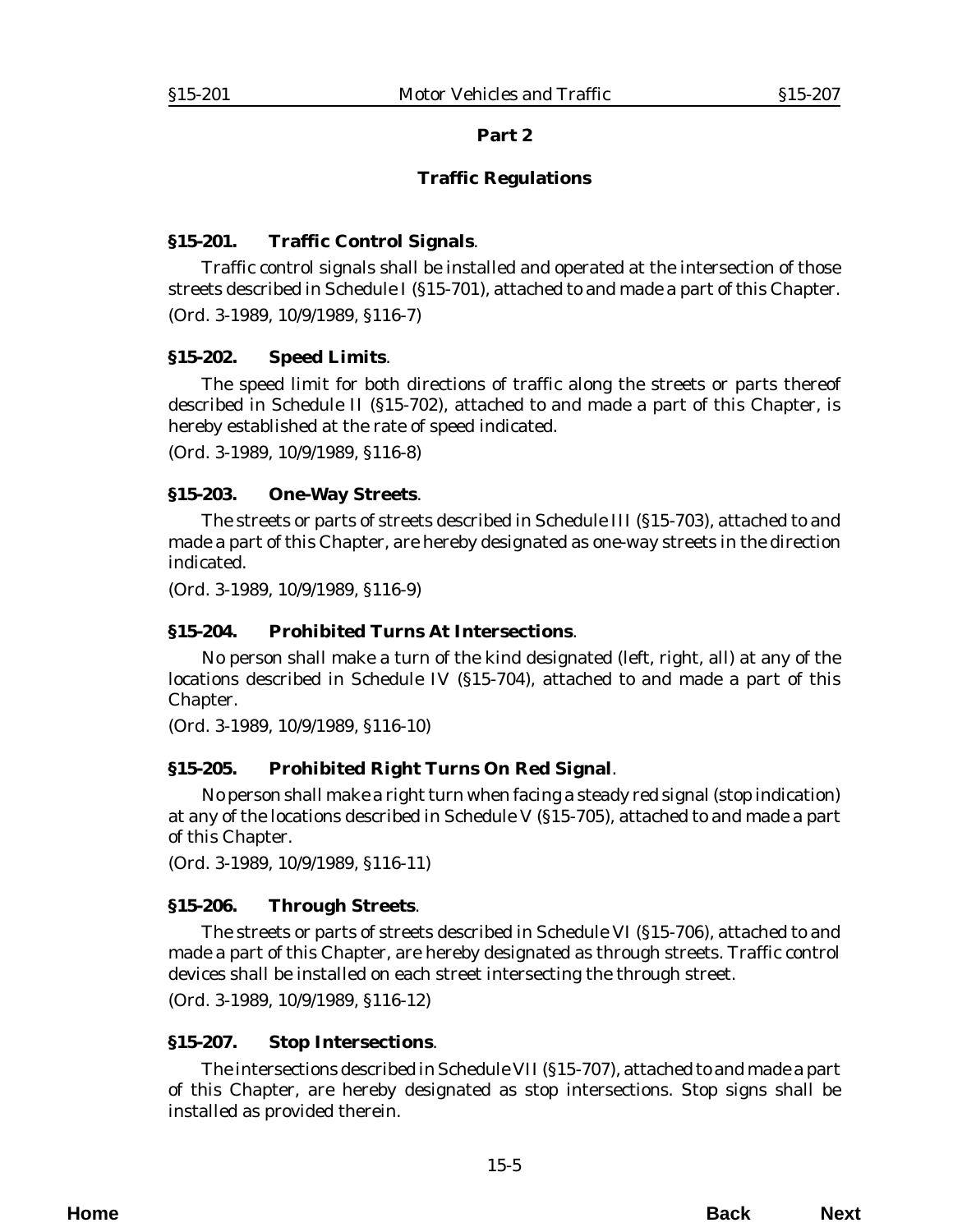# **Traffic Regulations**

#### <span id="page-4-0"></span>**§15-201. Traffic Control Signals**.

Traffic control signals shall be installed and operated at the intersection of those streets described in Schedule I (§15-701), attached to and made a part of this Chapter. (*Ord. 3-1989*, 10/9/1989, §116-7)

#### **§15-202. Speed Limits**.

The speed limit for both directions of traffic along the streets or parts thereof described in Schedule II (§15-702), attached to and made a part of this Chapter, is hereby established at the rate of speed indicated.

(*Ord. 3-1989*, 10/9/1989, §116-8)

#### **§15-203. One-Way Streets**.

The streets or parts of streets described in Schedule III (§15-703), attached to and made a part of this Chapter, are hereby designated as one-way streets in the direction indicated.

(*Ord. 3-1989*, 10/9/1989, §116-9)

# **§15-204. Prohibited Turns At Intersections**.

No person shall make a turn of the kind designated (left, right, all) at any of the locations described in Schedule IV (§15-704), attached to and made a part of this Chapter.

(*Ord. 3-1989*, 10/9/1989, §116-10)

# **§15-205. Prohibited Right Turns On Red Signal**.

No person shall make a right turn when facing a steady red signal (stop indication) at any of the locations described in Schedule V (§15-705), attached to and made a part of this Chapter.

(*Ord. 3-1989*, 10/9/1989, §116-11)

# **§15-206. Through Streets**.

The streets or parts of streets described in Schedule VI (§15-706), attached to and made a part of this Chapter, are hereby designated as through streets. Traffic control devices shall be installed on each street intersecting the through street.

(*Ord. 3-1989*, 10/9/1989, §116-12)

# **§15-207. Stop Intersections**.

The intersections described in Schedule VII (§15-707), attached to and made a part of this Chapter, are hereby designated as stop intersections. Stop signs shall be installed as provided therein.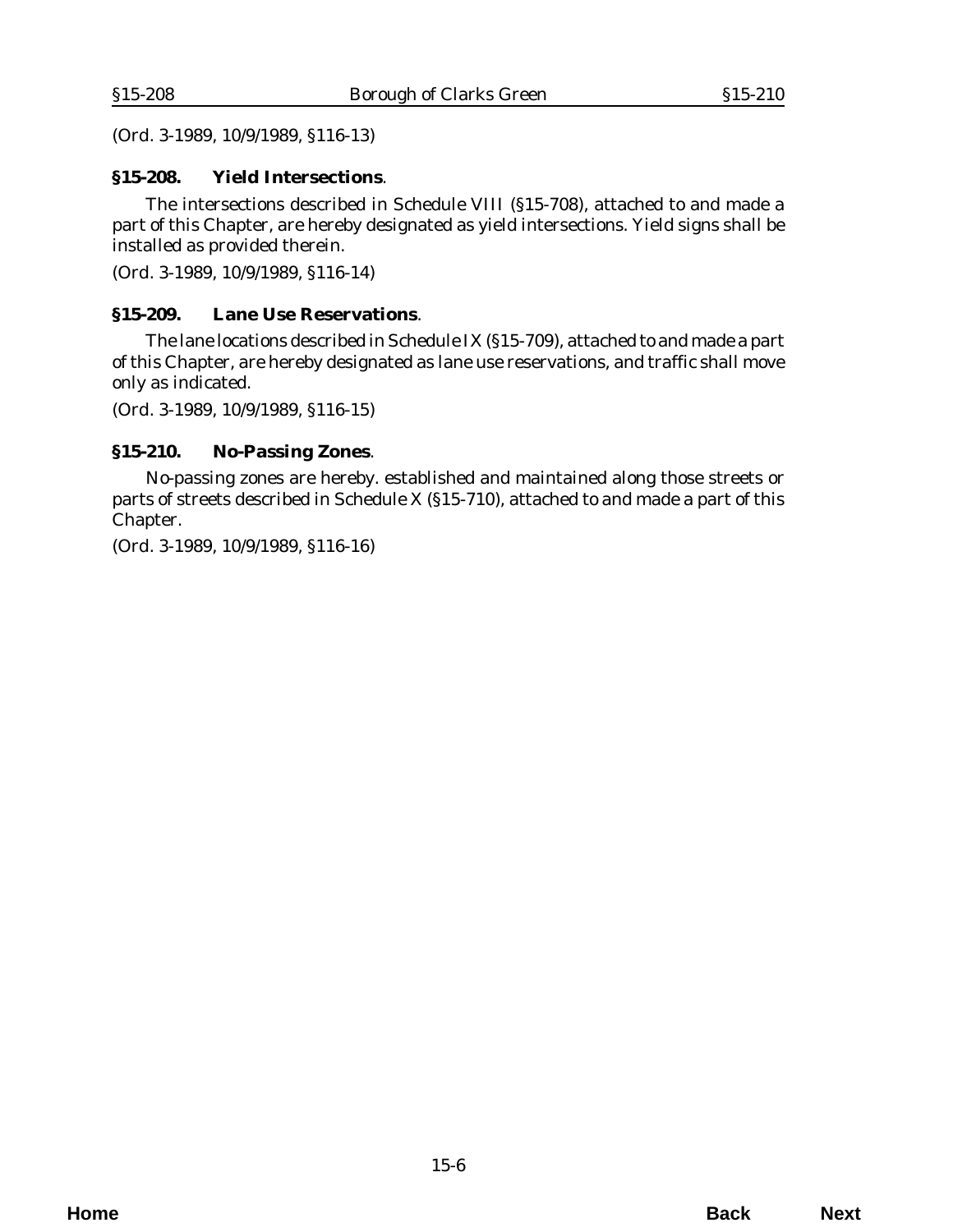<span id="page-5-0"></span>(*Ord. 3-1989*, 10/9/1989, §116-13)

## **§15-208. Yield Intersections**.

The intersections described in Schedule VIII (§15-708), attached to and made a part of this Chapter, are hereby designated as yield intersections. Yield signs shall be installed as provided therein.

(*Ord. 3-1989*, 10/9/1989, §116-14)

### **§15-209. Lane Use Reservations**.

The lane locations described in Schedule IX (§15-709), attached to and made a part of this Chapter, are hereby designated as lane use reservations, and traffic shall move only as indicated.

(*Ord. 3-1989*, 10/9/1989, §116-15)

#### **§15-210. No-Passing Zones**.

No-passing zones are hereby. established and maintained along those streets or parts of streets described in Schedule X (§15-710), attached to and made a part of this Chapter.

(*Ord. 3-1989*, 10/9/1989, §116-16)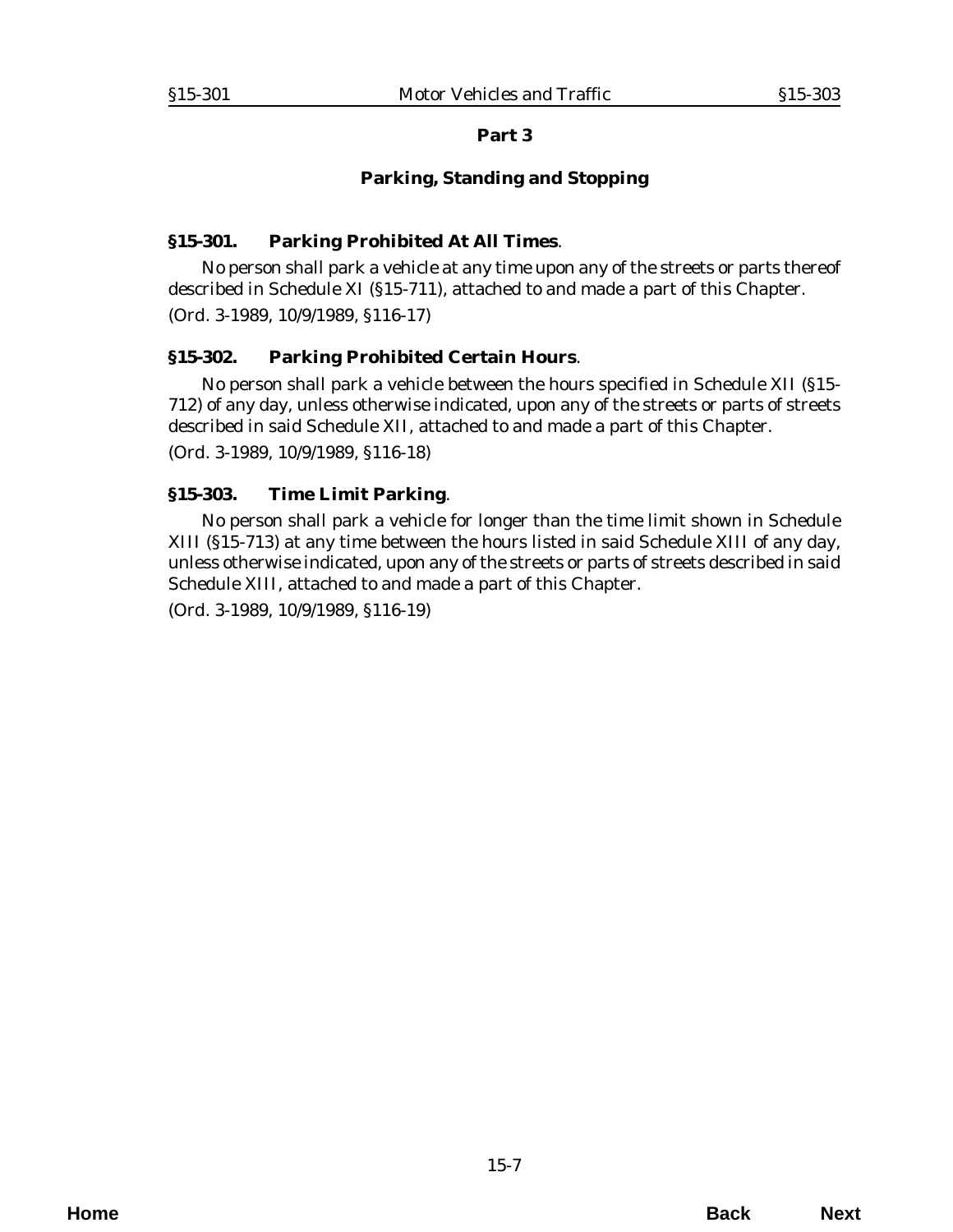#### **Parking, Standing and Stopping**

#### <span id="page-6-0"></span>**§15-301. Parking Prohibited At All Times**.

No person shall park a vehicle at any time upon any of the streets or parts thereof described in Schedule XI (§15-711), attached to and made a part of this Chapter. (*Ord. 3-1989*, 10/9/1989, §116-17)

# **§15-302. Parking Prohibited Certain Hours**.

No person shall park a vehicle between the hours specified in Schedule XII (§15- 712) of any day, unless otherwise indicated, upon any of the streets or parts of streets described in said Schedule XII, attached to and made a part of this Chapter.

(*Ord. 3-1989*, 10/9/1989, §116-18)

#### **§15-303. Time Limit Parking**.

No person shall park a vehicle for longer than the time limit shown in Schedule XIII (§15-713) at any time between the hours listed in said Schedule XIII of any day, unless otherwise indicated, upon any of the streets or parts of streets described in said Schedule XIII, attached to and made a part of this Chapter.

(*Ord. 3-1989*, 10/9/1989, §116-19)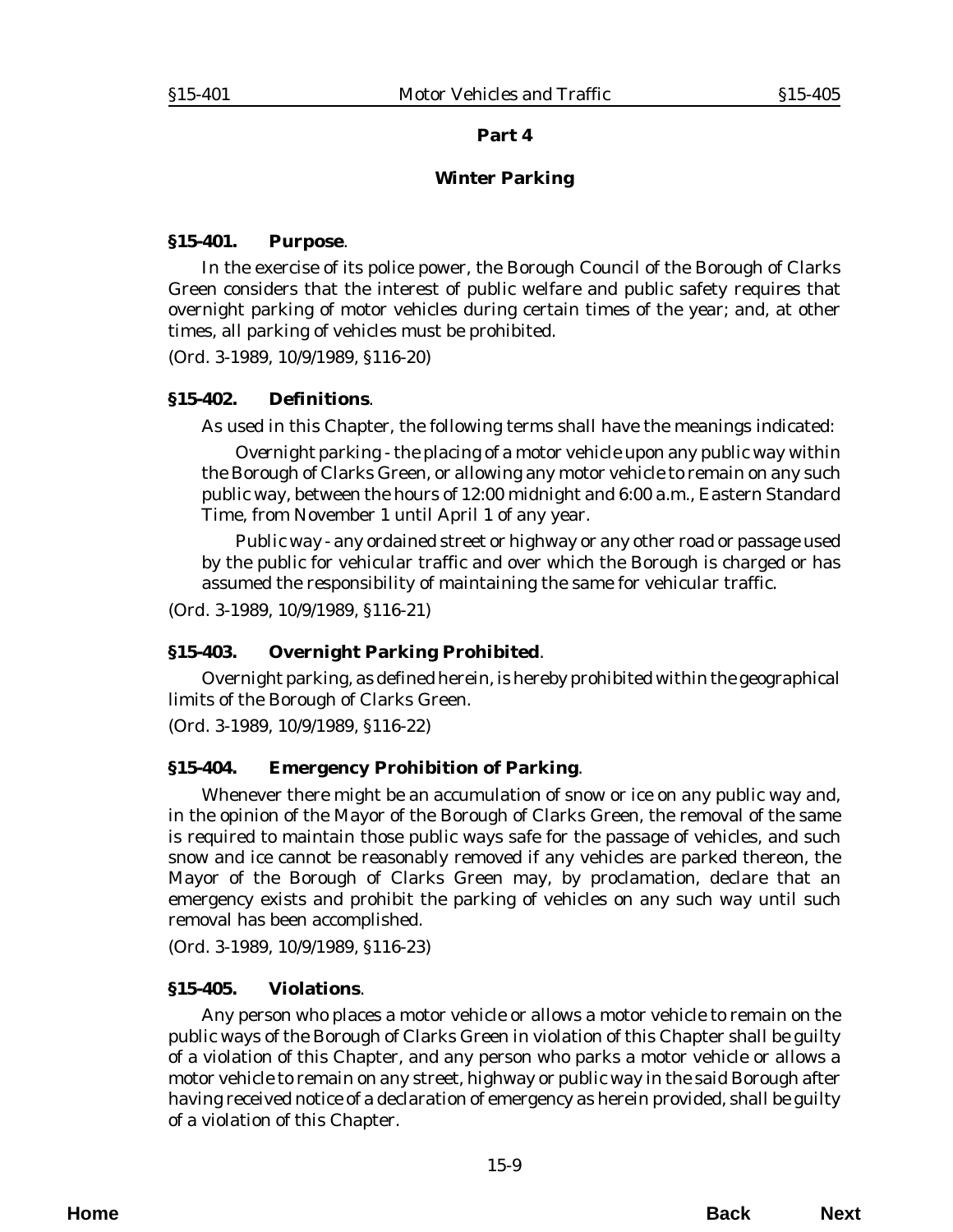#### **Winter Parking**

#### <span id="page-8-0"></span>**§15-401. Purpose**.

In the exercise of its police power, the Borough Council of the Borough of Clarks Green considers that the interest of public welfare and public safety requires that overnight parking of motor vehicles during certain times of the year; and, at other times, all parking of vehicles must be prohibited.

(*Ord. 3-1989*, 10/9/1989, §116-20)

#### **§15-402. Definitions**.

As used in this Chapter, the following terms shall have the meanings indicated:

*Overnight parking* - the placing of a motor vehicle upon any public way within the Borough of Clarks Green, or allowing any motor vehicle to remain on any such public way, between the hours of 12:00 midnight and 6:00 a.m., Eastern Standard Time, from November 1 until April 1 of any year.

*Public way* - any ordained street or highway or any other road or passage used by the public for vehicular traffic and over which the Borough is charged or has assumed the responsibility of maintaining the same for vehicular traffic.

(*Ord. 3-1989*, 10/9/1989, §116-21)

# **§15-403. Overnight Parking Prohibited**.

Overnight parking, as defined herein, is hereby prohibited within the geographical limits of the Borough of Clarks Green.

(*Ord. 3-1989*, 10/9/1989, §116-22)

# **§15-404. Emergency Prohibition of Parking**.

Whenever there might be an accumulation of snow or ice on any public way and, in the opinion of the Mayor of the Borough of Clarks Green, the removal of the same is required to maintain those public ways safe for the passage of vehicles, and such snow and ice cannot be reasonably removed if any vehicles are parked thereon, the Mayor of the Borough of Clarks Green may, by proclamation, declare that an emergency exists and prohibit the parking of vehicles on any such way until such removal has been accomplished.

(*Ord. 3-1989*, 10/9/1989, §116-23)

# **§15-405. Violations**.

Any person who places a motor vehicle or allows a motor vehicle to remain on the public ways of the Borough of Clarks Green in violation of this Chapter shall be guilty of a violation of this Chapter, and any person who parks a motor vehicle or allows a motor vehicle to remain on any street, highway or public way in the said Borough after having received notice of a declaration of emergency as herein provided, shall be guilty of a violation of this Chapter.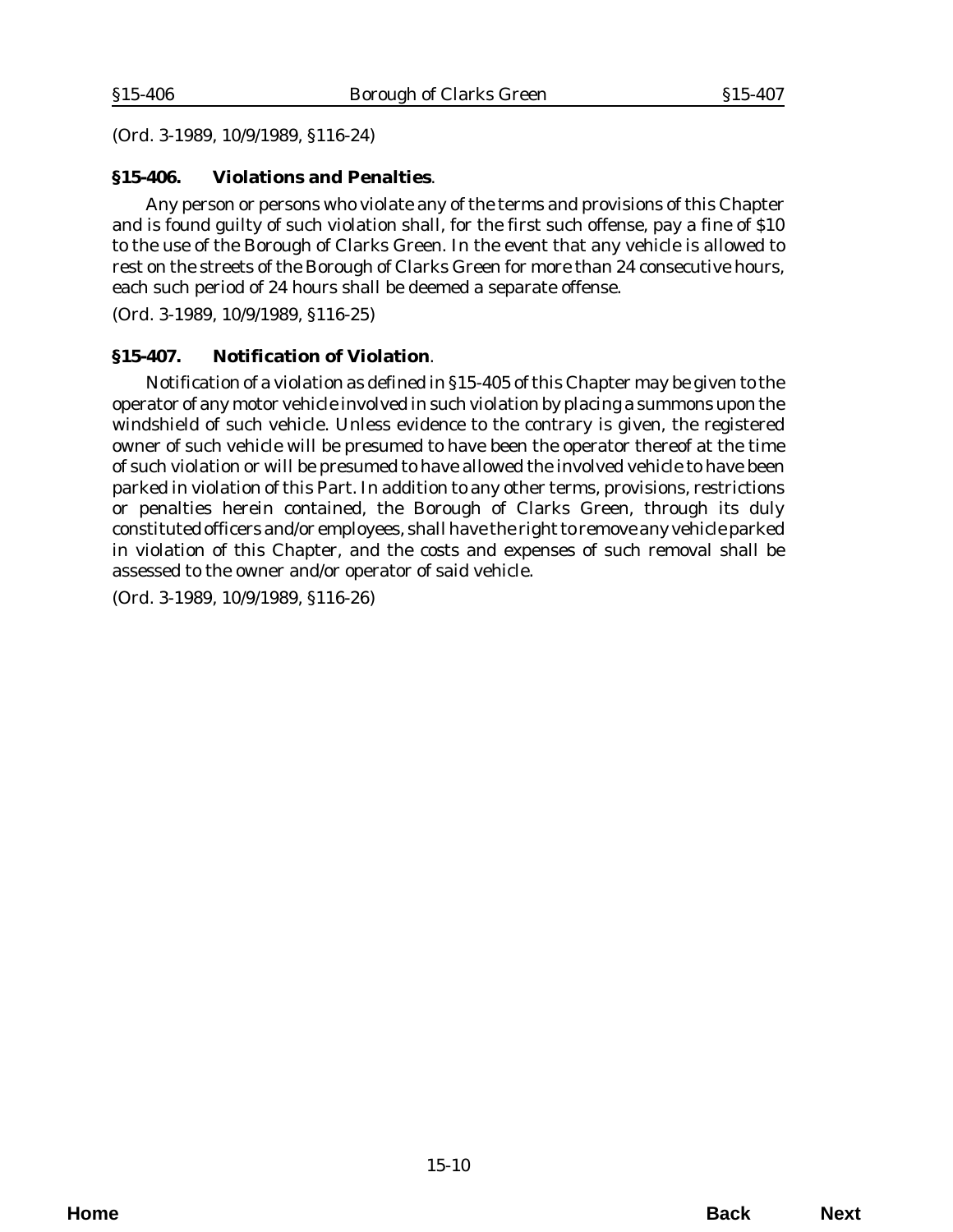<span id="page-9-0"></span>(*Ord. 3-1989*, 10/9/1989, §116-24)

## **§15-406. Violations and Penalties**.

Any person or persons who violate any of the terms and provisions of this Chapter and is found guilty of such violation shall, for the first such offense, pay a fine of \$10 to the use of the Borough of Clarks Green. In the event that any vehicle is allowed to rest on the streets of the Borough of Clarks Green for more than 24 consecutive hours, each such period of 24 hours shall be deemed a separate offense.

(*Ord. 3-1989*, 10/9/1989, §116-25)

#### **§15-407. Notification of Violation**.

Notification of a violation as defined in §15-405 of this Chapter may be given to the operator of any motor vehicle involved in such violation by placing a summons upon the windshield of such vehicle. Unless evidence to the contrary is given, the registered owner of such vehicle will be presumed to have been the operator thereof at the time of such violation or will be presumed to have allowed the involved vehicle to have been parked in violation of this Part. In addition to any other terms, provisions, restrictions or penalties herein contained, the Borough of Clarks Green, through its duly constituted officers and/or employees, shall have the right to remove any vehicle parked in violation of this Chapter, and the costs and expenses of such removal shall be assessed to the owner and/or operator of said vehicle.

(*Ord. 3-1989*, 10/9/1989, §116-26)

**Home Back Next**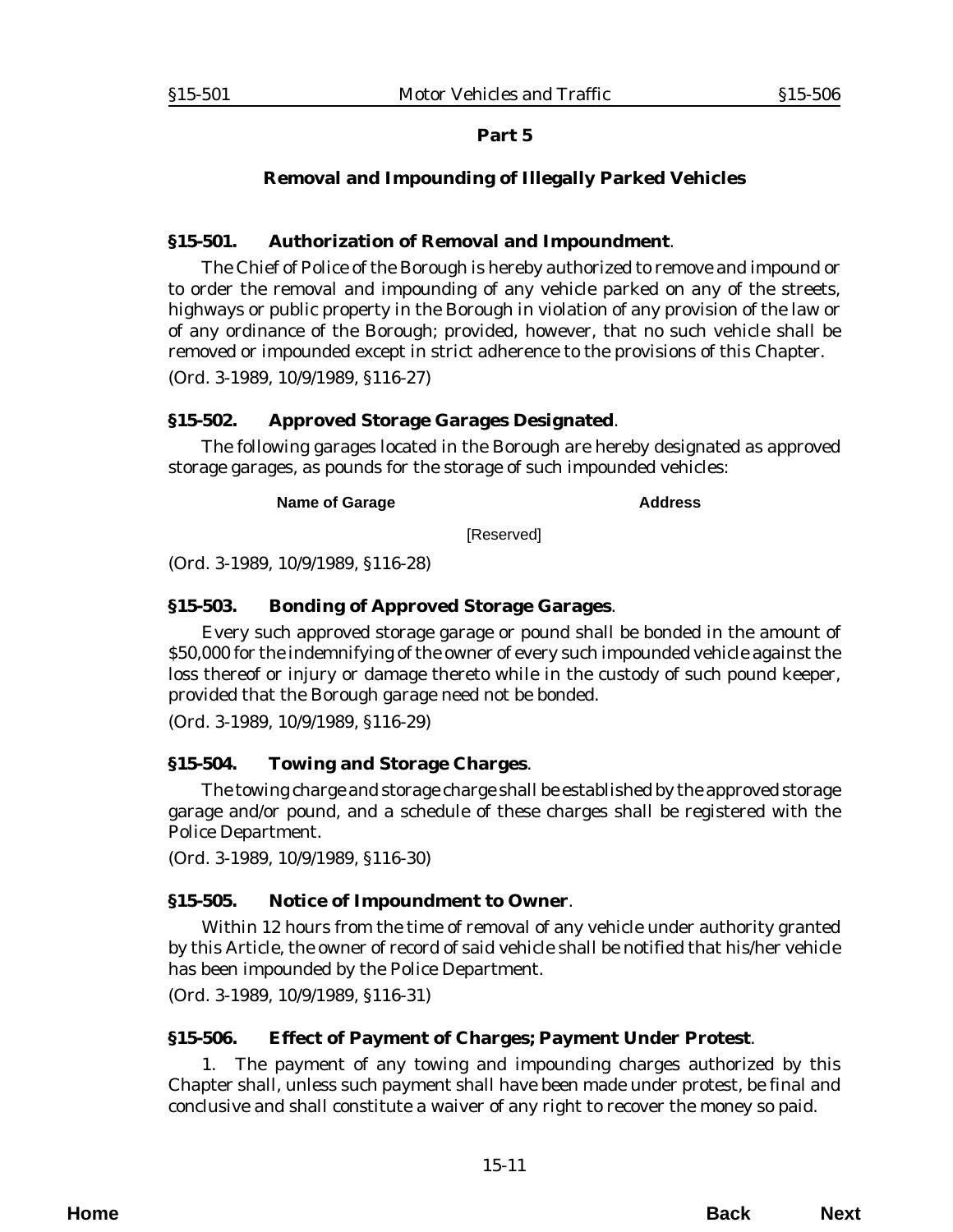# **Removal and Impounding of Illegally Parked Vehicles**

## <span id="page-10-0"></span>**§15-501. Authorization of Removal and Impoundment**.

The Chief of Police of the Borough is hereby authorized to remove and impound or to order the removal and impounding of any vehicle parked on any of the streets, highways or public property in the Borough in violation of any provision of the law or of any ordinance of the Borough; provided, however, that no such vehicle shall be removed or impounded except in strict adherence to the provisions of this Chapter. (*Ord. 3-1989*, 10/9/1989, §116-27)

# **§15-502. Approved Storage Garages Designated**.

The following garages located in the Borough are hereby designated as approved storage garages, as pounds for the storage of such impounded vehicles:

**Name of Garage Address Address** 

[Reserved]

(*Ord. 3-1989*, 10/9/1989, §116-28)

# **§15-503. Bonding of Approved Storage Garages**.

Every such approved storage garage or pound shall be bonded in the amount of \$50,000 for the indemnifying of the owner of every such impounded vehicle against the loss thereof or injury or damage thereto while in the custody of such pound keeper, provided that the Borough garage need not be bonded.

(*Ord. 3-1989*, 10/9/1989, §116-29)

# **§15-504. Towing and Storage Charges**.

The towing charge and storage charge shall be established by the approved storage garage and/or pound, and a schedule of these charges shall be registered with the Police Department.

(*Ord. 3-1989*, 10/9/1989, §116-30)

# **§15-505. Notice of Impoundment to Owner**.

Within 12 hours from the time of removal of any vehicle under authority granted by this Article, the owner of record of said vehicle shall be notified that his/her vehicle has been impounded by the Police Department.

(*Ord. 3-1989*, 10/9/1989, §116-31)

# **§15-506. Effect of Payment of Charges; Payment Under Protest**.

1. The payment of any towing and impounding charges authorized by this Chapter shall, unless such payment shall have been made under protest, be final and conclusive and shall constitute a waiver of any right to recover the money so paid.

**Home Back Next**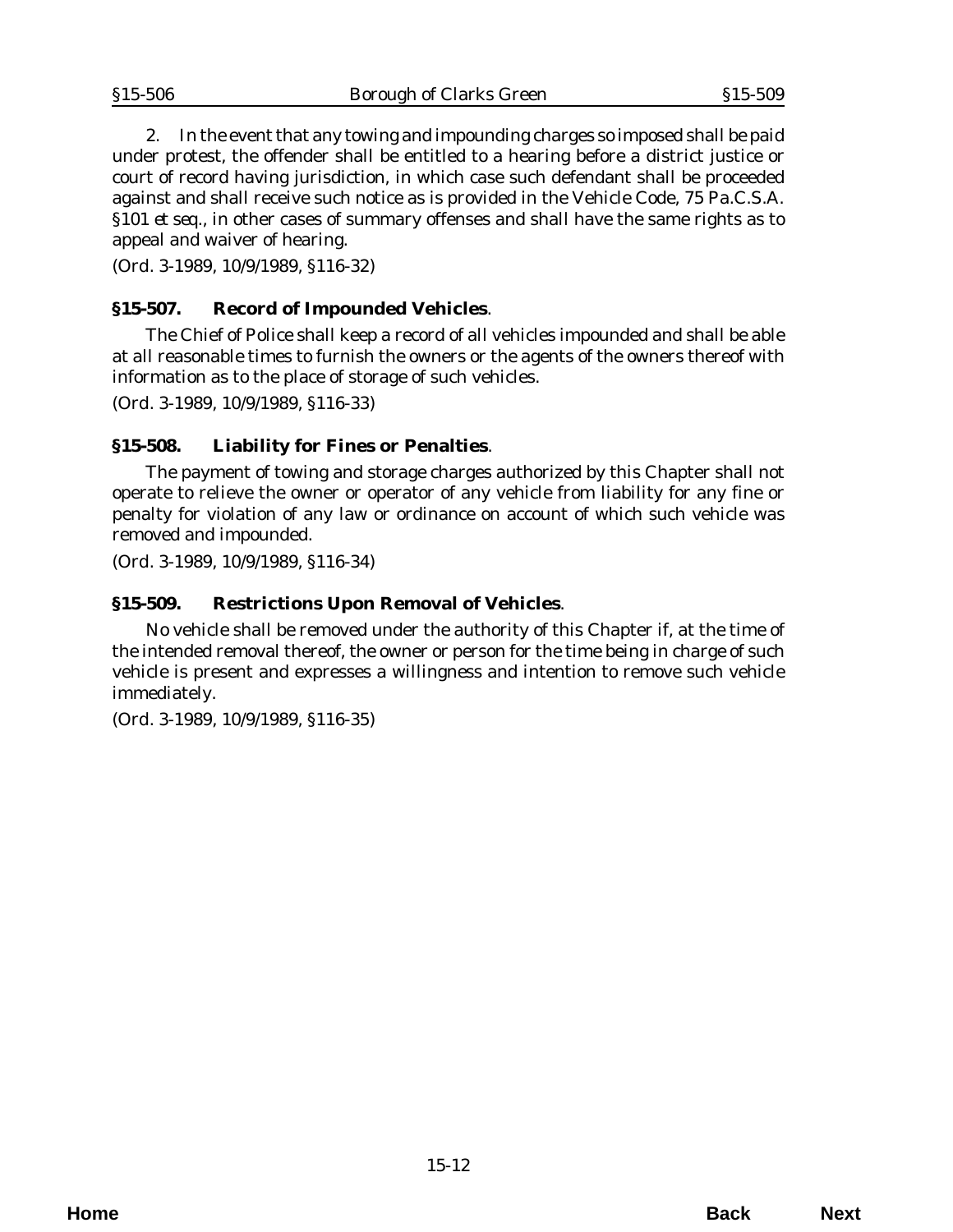<span id="page-11-0"></span>2. In the event that any towing and impounding charges so imposed shall be paid under protest, the offender shall be entitled to a hearing before a district justice or court of record having jurisdiction, in which case such defendant shall be proceeded against and shall receive such notice as is provided in the Vehicle Code, 75 Pa.C.S.A. §101 *et seq*., in other cases of summary offenses and shall have the same rights as to appeal and waiver of hearing.

(*Ord. 3-1989*, 10/9/1989, §116-32)

# **§15-507. Record of Impounded Vehicles**.

The Chief of Police shall keep a record of all vehicles impounded and shall be able at all reasonable times to furnish the owners or the agents of the owners thereof with information as to the place of storage of such vehicles.

(*Ord. 3-1989*, 10/9/1989, §116-33)

#### **§15-508. Liability for Fines or Penalties**.

The payment of towing and storage charges authorized by this Chapter shall not operate to relieve the owner or operator of any vehicle from liability for any fine or penalty for violation of any law or ordinance on account of which such vehicle was removed and impounded.

(*Ord. 3-1989*, 10/9/1989, §116-34)

#### **§15-509. Restrictions Upon Removal of Vehicles**.

No vehicle shall be removed under the authority of this Chapter if, at the time of the intended removal thereof, the owner or person for the time being in charge of such vehicle is present and expresses a willingness and intention to remove such vehicle immediately.

(*Ord. 3-1989*, 10/9/1989, §116-35)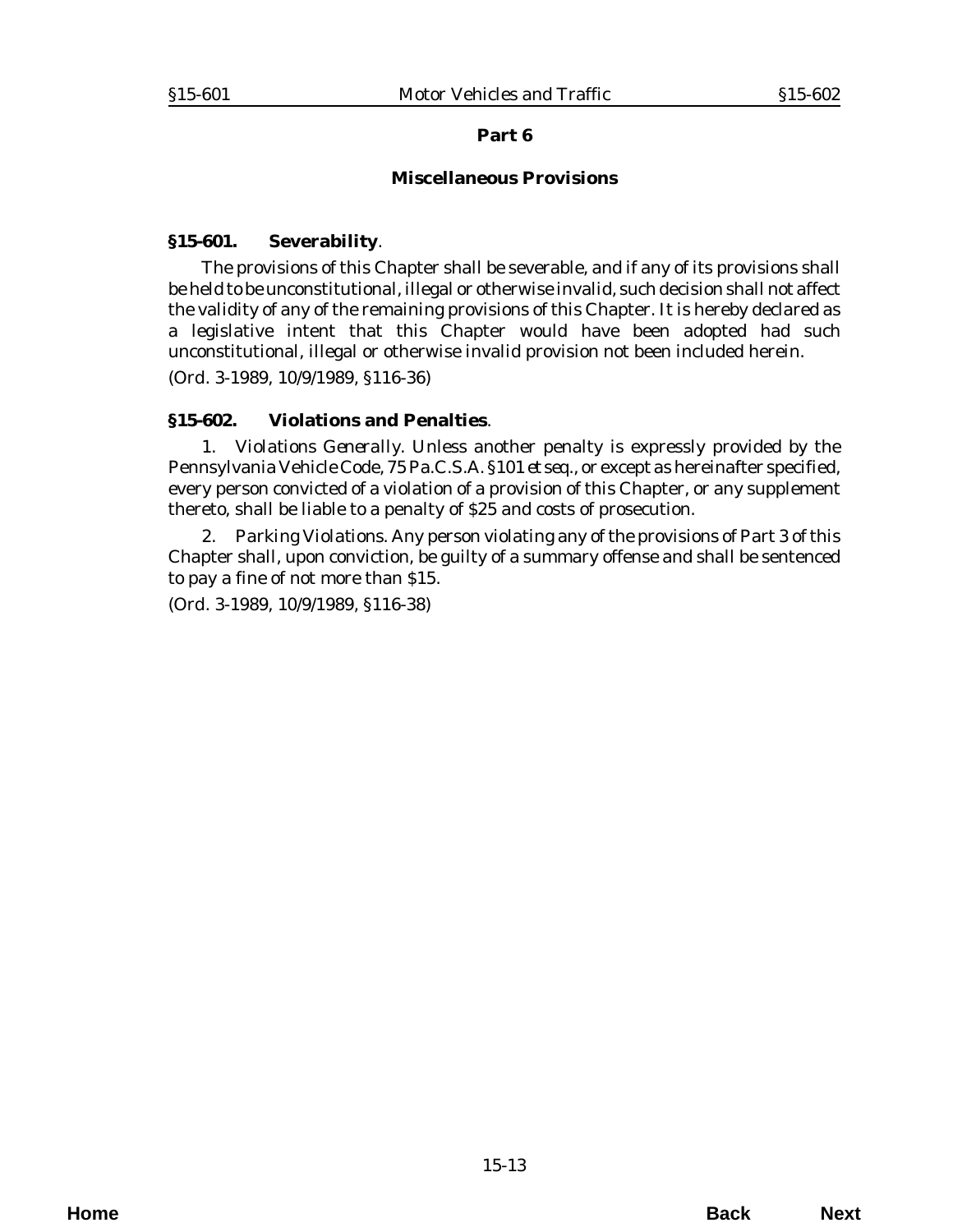#### **Miscellaneous Provisions**

#### <span id="page-12-0"></span>**§15-601. Severability**.

The provisions of this Chapter shall be severable, and if any of its provisions shall be held to be unconstitutional, illegal or otherwise invalid, such decision shall not affect the validity of any of the remaining provisions of this Chapter. It is hereby declared as a legislative intent that this Chapter would have been adopted had such unconstitutional, illegal or otherwise invalid provision not been included herein. (*Ord. 3-1989*, 10/9/1989, §116-36)

#### **§15-602. Violations and Penalties**.

1. *Violations Generally*. Unless another penalty is expressly provided by the Pennsylvania Vehicle Code, 75 Pa.C.S.A. §101 *et seq*., or except as hereinafter specified, every person convicted of a violation of a provision of this Chapter, or any supplement thereto, shall be liable to a penalty of \$25 and costs of prosecution.

2. *Parking Violations*. Any person violating any of the provisions of Part 3 of this Chapter shall, upon conviction, be guilty of a summary offense and shall be sentenced to pay a fine of not more than \$15.

(*Ord. 3-1989*, 10/9/1989, §116-38)

**Home Back Next**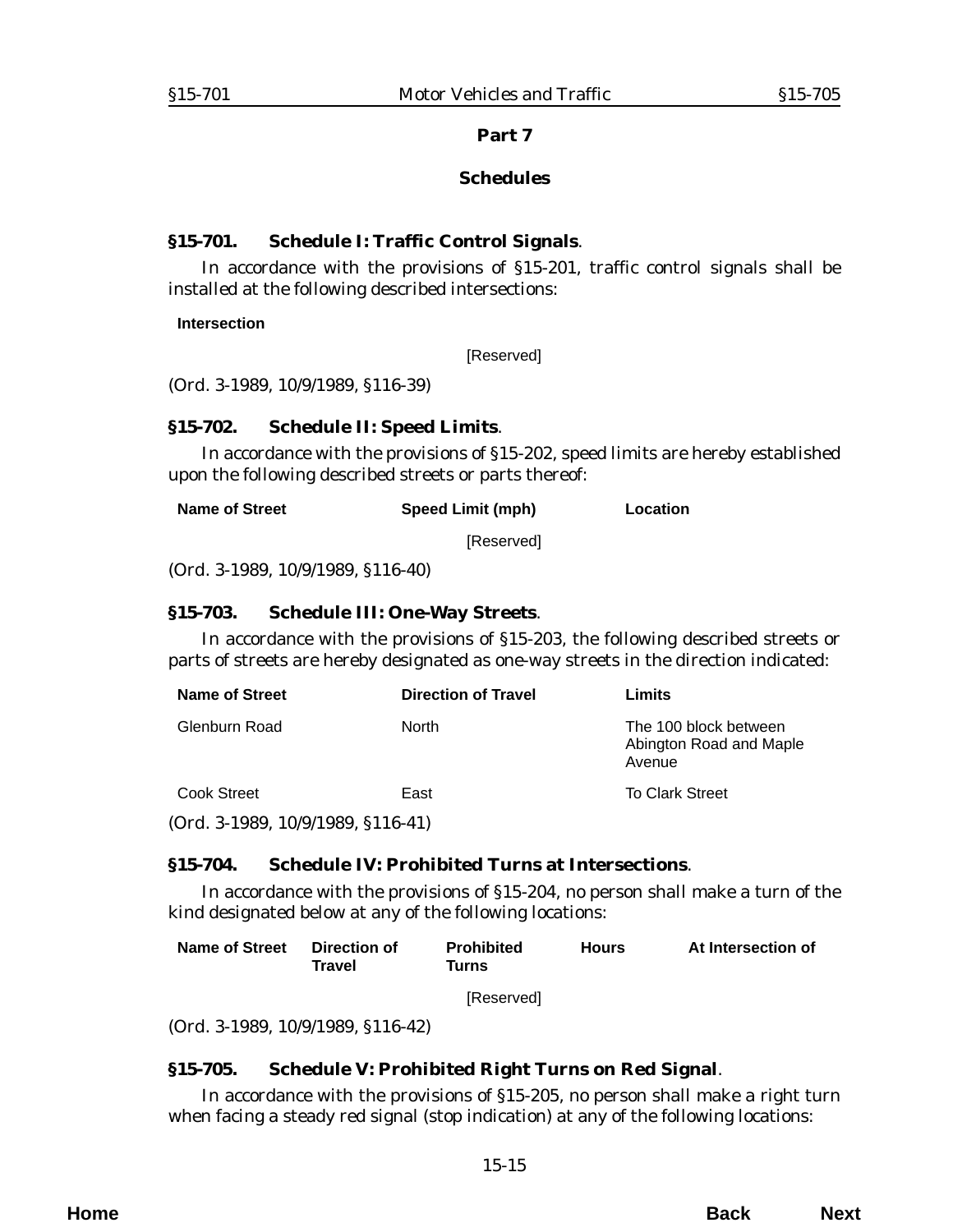## **Schedules**

#### <span id="page-14-0"></span>**§15-701. Schedule I: Traffic Control Signals**.

In accordance with the provisions of §15-201, traffic control signals shall be installed at the following described intersections:

**Intersection**

[Reserved]

(*Ord. 3-1989*, 10/9/1989, §116-39)

#### **§15-702. Schedule II: Speed Limits**.

In accordance with the provisions of §15-202, speed limits are hereby established upon the following described streets or parts thereof:

| Name of Street | <b>Speed Limit (mph)</b> | Location |
|----------------|--------------------------|----------|
|                | [Reserved]               |          |

(*Ord. 3-1989*, 10/9/1989, §116-40)

#### **§15-703. Schedule III: One-Way Streets**.

In accordance with the provisions of §15-203, the following described streets or parts of streets are hereby designated as one-way streets in the direction indicated:

| <b>Name of Street</b>               | <b>Direction of Travel</b> | Limits                                                     |
|-------------------------------------|----------------------------|------------------------------------------------------------|
| Glenburn Road                       | <b>North</b>               | The 100 block between<br>Abington Road and Maple<br>Avenue |
| Cook Street                         | East                       | <b>To Clark Street</b>                                     |
| $(Ord. 3-1989, 10/9/1989, $116-41)$ |                            |                                                            |

# **§15-704. Schedule IV: Prohibited Turns at Intersections**.

In accordance with the provisions of §15-204, no person shall make a turn of the kind designated below at any of the following locations:

| Name of Street Direction of |        | <b>Prohibited</b> | <b>Hours</b> | At Intersection of |
|-----------------------------|--------|-------------------|--------------|--------------------|
|                             | Travel | Turns             |              |                    |
|                             |        |                   |              |                    |

[Reserved]

(*Ord. 3-1989*, 10/9/1989, §116-42)

# **§15-705. Schedule V: Prohibited Right Turns on Red Signal**.

In accordance with the provisions of §15-205, no person shall make a right turn when facing a steady red signal (stop indication) at any of the following locations: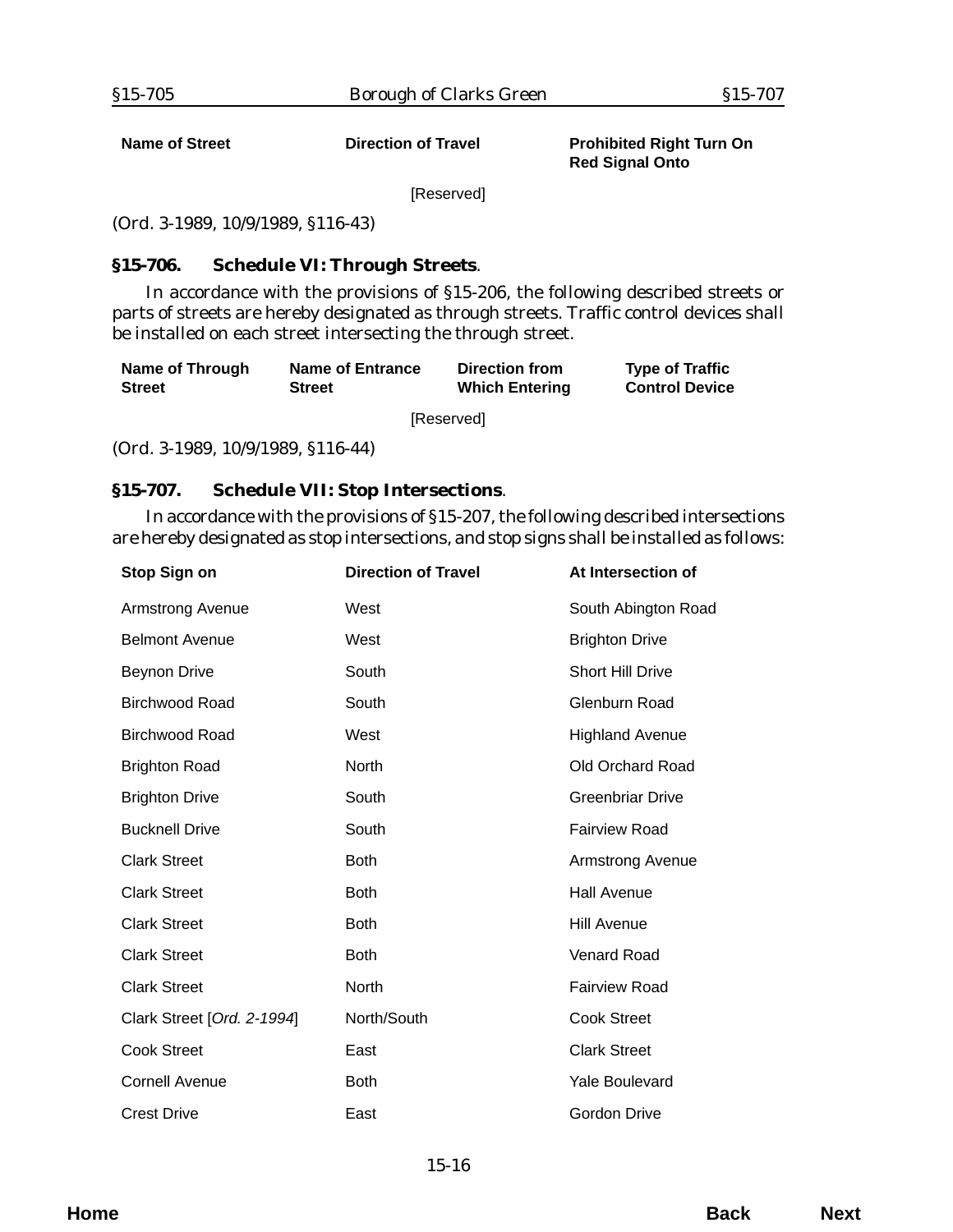<span id="page-15-0"></span>

**Name of Street Common Contract Direction of Travel Common Prohibited Right Turn On Red Signal Onto**

[Reserved]

(*Ord. 3-1989*, 10/9/1989, §116-43)

# **§15-706. Schedule VI: Through Streets**.

In accordance with the provisions of §15-206, the following described streets or parts of streets are hereby designated as through streets. Traffic control devices shall be installed on each street intersecting the through street.

| Name of Through | Name of Entrance | Direction from        | <b>Type of Traffic</b> |  |  |
|-----------------|------------------|-----------------------|------------------------|--|--|
| <b>Street</b>   | <b>Street</b>    | <b>Which Entering</b> | <b>Control Device</b>  |  |  |
|                 |                  |                       |                        |  |  |

[Reserved]

(*Ord. 3-1989*, 10/9/1989, §116-44)

#### **§15-707. Schedule VII: Stop Intersections**.

In accordance with the provisions of §15-207, the following described intersections are hereby designated as stop intersections, and stop signs shall be installed as follows:

| Stop Sign on               | <b>Direction of Travel</b> | At Intersection of      |
|----------------------------|----------------------------|-------------------------|
| <b>Armstrong Avenue</b>    | West                       | South Abington Road     |
| <b>Belmont Avenue</b>      | West                       | <b>Brighton Drive</b>   |
| <b>Beynon Drive</b>        | South                      | Short Hill Drive        |
| <b>Birchwood Road</b>      | South                      | Glenburn Road           |
| <b>Birchwood Road</b>      | West                       | <b>Highland Avenue</b>  |
| <b>Brighton Road</b>       | <b>North</b>               | Old Orchard Road        |
| <b>Brighton Drive</b>      | South                      | <b>Greenbriar Drive</b> |
| <b>Bucknell Drive</b>      | South                      | <b>Fairview Road</b>    |
| <b>Clark Street</b>        | <b>Both</b>                | Armstrong Avenue        |
| <b>Clark Street</b>        | <b>Both</b>                | <b>Hall Avenue</b>      |
| <b>Clark Street</b>        | <b>Both</b>                | <b>Hill Avenue</b>      |
| <b>Clark Street</b>        | <b>Both</b>                | <b>Venard Road</b>      |
| <b>Clark Street</b>        | North                      | <b>Fairview Road</b>    |
| Clark Street [Ord. 2-1994] | North/South                | <b>Cook Street</b>      |
| <b>Cook Street</b>         | East                       | <b>Clark Street</b>     |
| <b>Cornell Avenue</b>      | <b>Both</b>                | <b>Yale Boulevard</b>   |
| <b>Crest Drive</b>         | East                       | Gordon Drive            |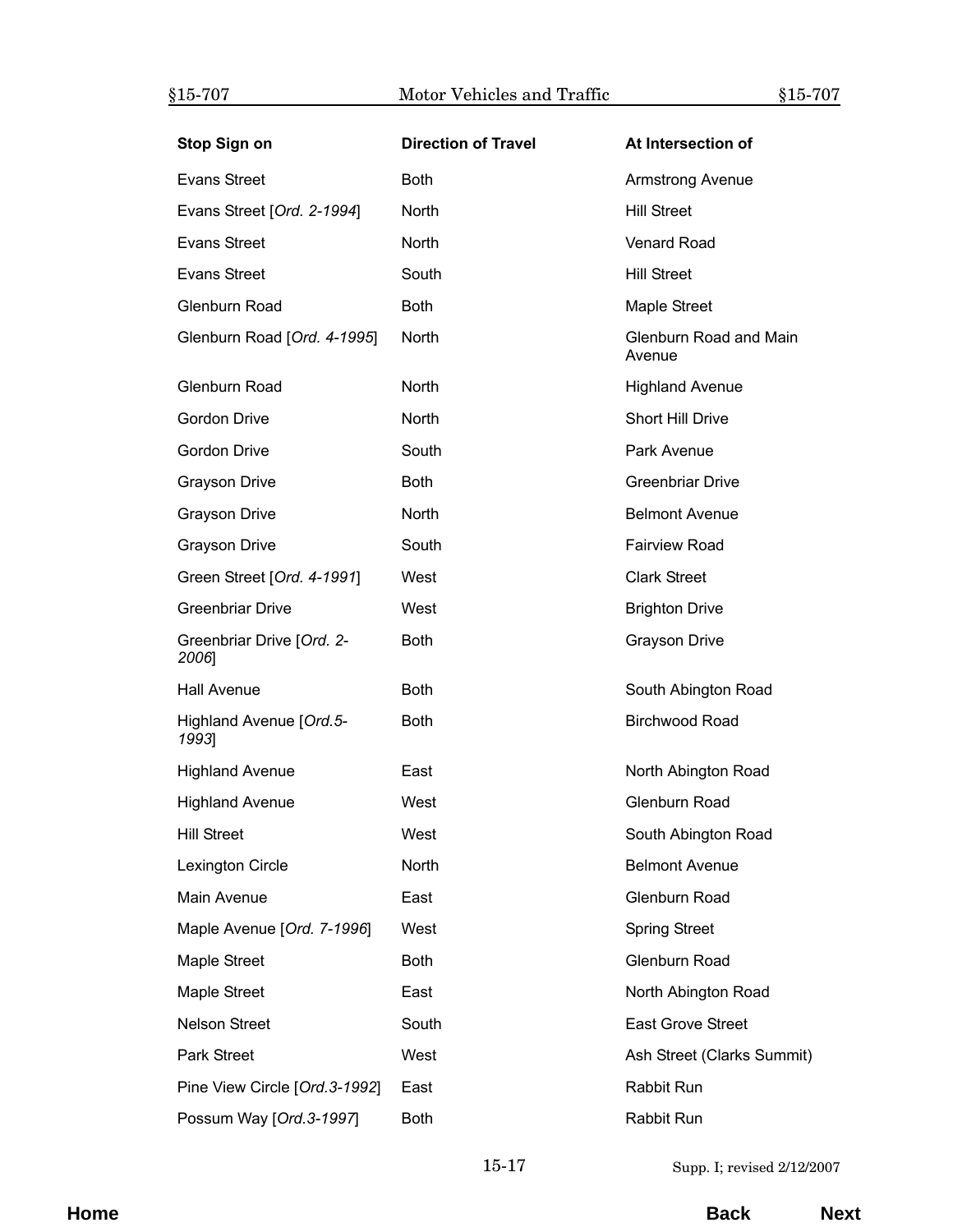| <b>Stop Sign on</b>                | <b>Direction of Travel</b> | At Intersection of               |
|------------------------------------|----------------------------|----------------------------------|
| <b>Evans Street</b>                | <b>Both</b>                | Armstrong Avenue                 |
| Evans Street [Ord. 2-1994]         | North                      | <b>Hill Street</b>               |
| <b>Evans Street</b>                | <b>North</b>               | <b>Venard Road</b>               |
| <b>Evans Street</b>                | South                      | <b>Hill Street</b>               |
| Glenburn Road                      | <b>Both</b>                | Maple Street                     |
| Glenburn Road [Ord. 4-1995]        | North                      | Glenburn Road and Main<br>Avenue |
| Glenburn Road                      | North                      | <b>Highland Avenue</b>           |
| Gordon Drive                       | North                      | <b>Short Hill Drive</b>          |
| Gordon Drive                       | South                      | Park Avenue                      |
| <b>Grayson Drive</b>               | <b>Both</b>                | <b>Greenbriar Drive</b>          |
| <b>Grayson Drive</b>               | North                      | <b>Belmont Avenue</b>            |
| <b>Grayson Drive</b>               | South                      | <b>Fairview Road</b>             |
| Green Street [Ord. 4-1991]         | West                       | <b>Clark Street</b>              |
| <b>Greenbriar Drive</b>            | West                       | <b>Brighton Drive</b>            |
| Greenbriar Drive [Ord. 2-<br>2006] | <b>Both</b>                | <b>Grayson Drive</b>             |
| Hall Avenue                        | <b>Both</b>                | South Abington Road              |
| Highland Avenue [Ord.5-<br>1993]   | <b>Both</b>                | <b>Birchwood Road</b>            |
| <b>Highland Avenue</b>             | East                       | North Abington Road              |
| <b>Highland Avenue</b>             | West                       | Glenburn Road                    |
| <b>Hill Street</b>                 | West                       | South Abington Road              |
| Lexington Circle                   | North                      | <b>Belmont Avenue</b>            |
| Main Avenue                        | East                       | Glenburn Road                    |
| Maple Avenue [Ord. 7-1996]         | West                       | <b>Spring Street</b>             |
| Maple Street                       | <b>Both</b>                | Glenburn Road                    |
| Maple Street                       | East                       | North Abington Road              |
| <b>Nelson Street</b>               | South                      | <b>East Grove Street</b>         |
| <b>Park Street</b>                 | West                       | Ash Street (Clarks Summit)       |
| Pine View Circle [Ord.3-1992]      | East                       | Rabbit Run                       |
| Possum Way [Ord.3-1997]            | <b>Both</b>                | Rabbit Run                       |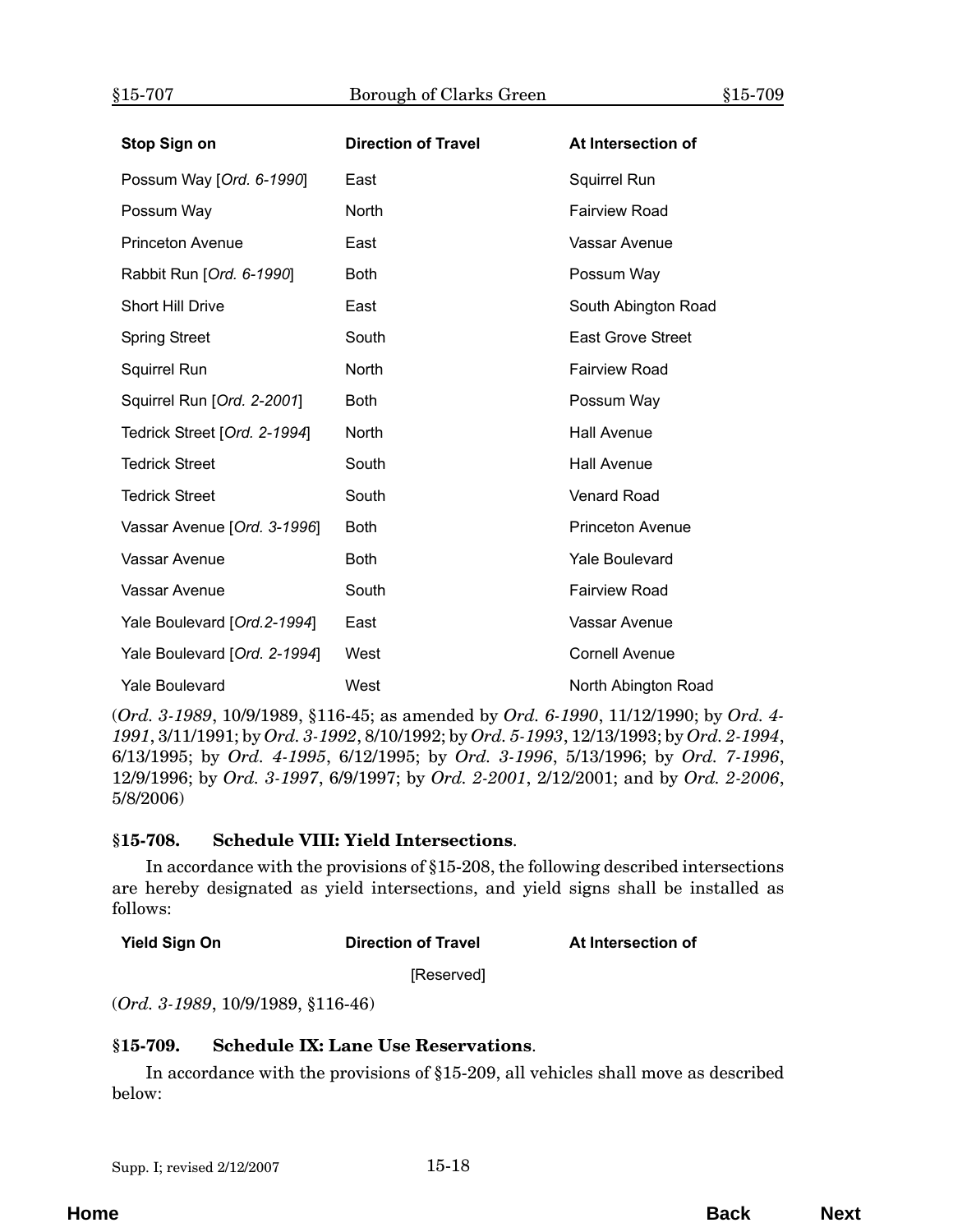<span id="page-17-0"></span>

| Stop Sign on                 | <b>Direction of Travel</b> | At Intersection of       |
|------------------------------|----------------------------|--------------------------|
| Possum Way [Ord. 6-1990]     | East                       | Squirrel Run             |
| Possum Way                   | North                      | <b>Fairview Road</b>     |
| <b>Princeton Avenue</b>      | East                       | Vassar Avenue            |
| Rabbit Run [Ord. 6-1990]     | <b>Both</b>                | Possum Way               |
| <b>Short Hill Drive</b>      | East                       | South Abington Road      |
| <b>Spring Street</b>         | South                      | <b>East Grove Street</b> |
| <b>Squirrel Run</b>          | North                      | <b>Fairview Road</b>     |
| Squirrel Run [Ord. 2-2001]   | <b>Both</b>                | Possum Way               |
| Tedrick Street [Ord. 2-1994] | <b>North</b>               | <b>Hall Avenue</b>       |
| <b>Tedrick Street</b>        | South                      | <b>Hall Avenue</b>       |
| <b>Tedrick Street</b>        | South                      | <b>Venard Road</b>       |
| Vassar Avenue [Ord. 3-1996]  | <b>Both</b>                | <b>Princeton Avenue</b>  |
| Vassar Avenue                | <b>Both</b>                | <b>Yale Boulevard</b>    |
| Vassar Avenue                | South                      | <b>Fairview Road</b>     |
| Yale Boulevard [Ord. 2-1994] | East                       | Vassar Avenue            |
| Yale Boulevard [Ord. 2-1994] | West                       | <b>Cornell Avenue</b>    |
| <b>Yale Boulevard</b>        | West                       | North Abington Road      |

(*Ord. 3-1989*, 10/9/1989, §116-45; as amended by *Ord. 6-1990*, 11/12/1990; by *Ord. 4- 1991*, 3/11/1991; by *Ord. 3-1992*, 8/10/1992; by *Ord. 5-1993*, 12/13/1993; by *Ord. 2-1994*, 6/13/1995; by *Ord. 4-1995*, 6/12/1995; by *Ord. 3-1996*, 5/13/1996; by *Ord. 7-1996*, 12/9/1996; by *Ord. 3-1997*, 6/9/1997; by *Ord. 2-2001*, 2/12/2001; and by *Ord. 2-2006*, 5/8/2006)

# **§15-708. Schedule VIII: Yield Intersections**.

In accordance with the provisions of §15-208, the following described intersections are hereby designated as yield intersections, and yield signs shall be installed as follows:

**Yield Sign On Direction of Travel At Intersection of Travel** 

[Reserved]

(*Ord. 3-1989*, 10/9/1989, §116-46)

#### **§15-709. Schedule IX: Lane Use Reservations**.

In accordance with the provisions of §15-209, all vehicles shall move as described below: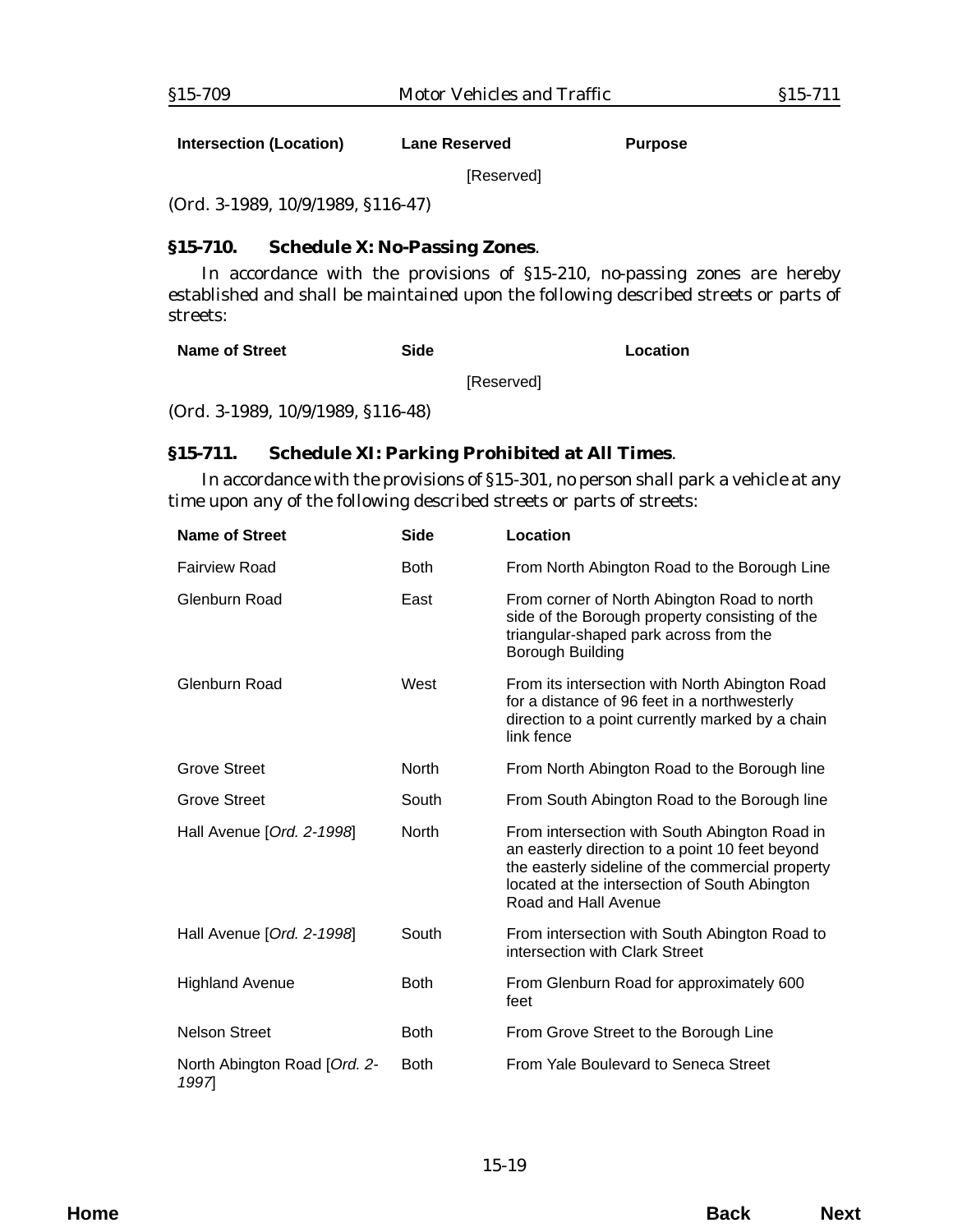<span id="page-18-0"></span>**Intersection (Location) Lane Reserved Purpose**

[Reserved]

(*Ord. 3-1989*, 10/9/1989, §116-47)

# **§15-710. Schedule X: No-Passing Zones**.

In accordance with the provisions of §15-210, no-passing zones are hereby established and shall be maintained upon the following described streets or parts of streets:

[Reserved]

(*Ord. 3-1989*, 10/9/1989, §116-48)

# **§15-711. Schedule XI: Parking Prohibited at All Times**.

In accordance with the provisions of §15-301, no person shall park a vehicle at any time upon any of the following described streets or parts of streets:

| <b>Name of Street</b>                | <b>Side</b>  | Location                                                                                                                                                                                                                      |
|--------------------------------------|--------------|-------------------------------------------------------------------------------------------------------------------------------------------------------------------------------------------------------------------------------|
| <b>Fairview Road</b>                 | <b>Both</b>  | From North Abington Road to the Borough Line                                                                                                                                                                                  |
| Glenburn Road                        | East         | From corner of North Abington Road to north<br>side of the Borough property consisting of the<br>triangular-shaped park across from the<br><b>Borough Building</b>                                                            |
| Glenburn Road                        | West         | From its intersection with North Abington Road<br>for a distance of 96 feet in a northwesterly<br>direction to a point currently marked by a chain<br>link fence                                                              |
| <b>Grove Street</b>                  | <b>North</b> | From North Abington Road to the Borough line                                                                                                                                                                                  |
| <b>Grove Street</b>                  | South        | From South Abington Road to the Borough line                                                                                                                                                                                  |
| Hall Avenue [Ord. 2-1998]            | <b>North</b> | From intersection with South Abington Road in<br>an easterly direction to a point 10 feet beyond<br>the easterly sideline of the commercial property<br>located at the intersection of South Abington<br>Road and Hall Avenue |
| Hall Avenue [Ord. 2-1998]            | South        | From intersection with South Abington Road to<br>intersection with Clark Street                                                                                                                                               |
| <b>Highland Avenue</b>               | <b>Both</b>  | From Glenburn Road for approximately 600<br>feet                                                                                                                                                                              |
| <b>Nelson Street</b>                 | <b>Both</b>  | From Grove Street to the Borough Line                                                                                                                                                                                         |
| North Abington Road [Ord. 2-<br>1997 | <b>Both</b>  | From Yale Boulevard to Seneca Street                                                                                                                                                                                          |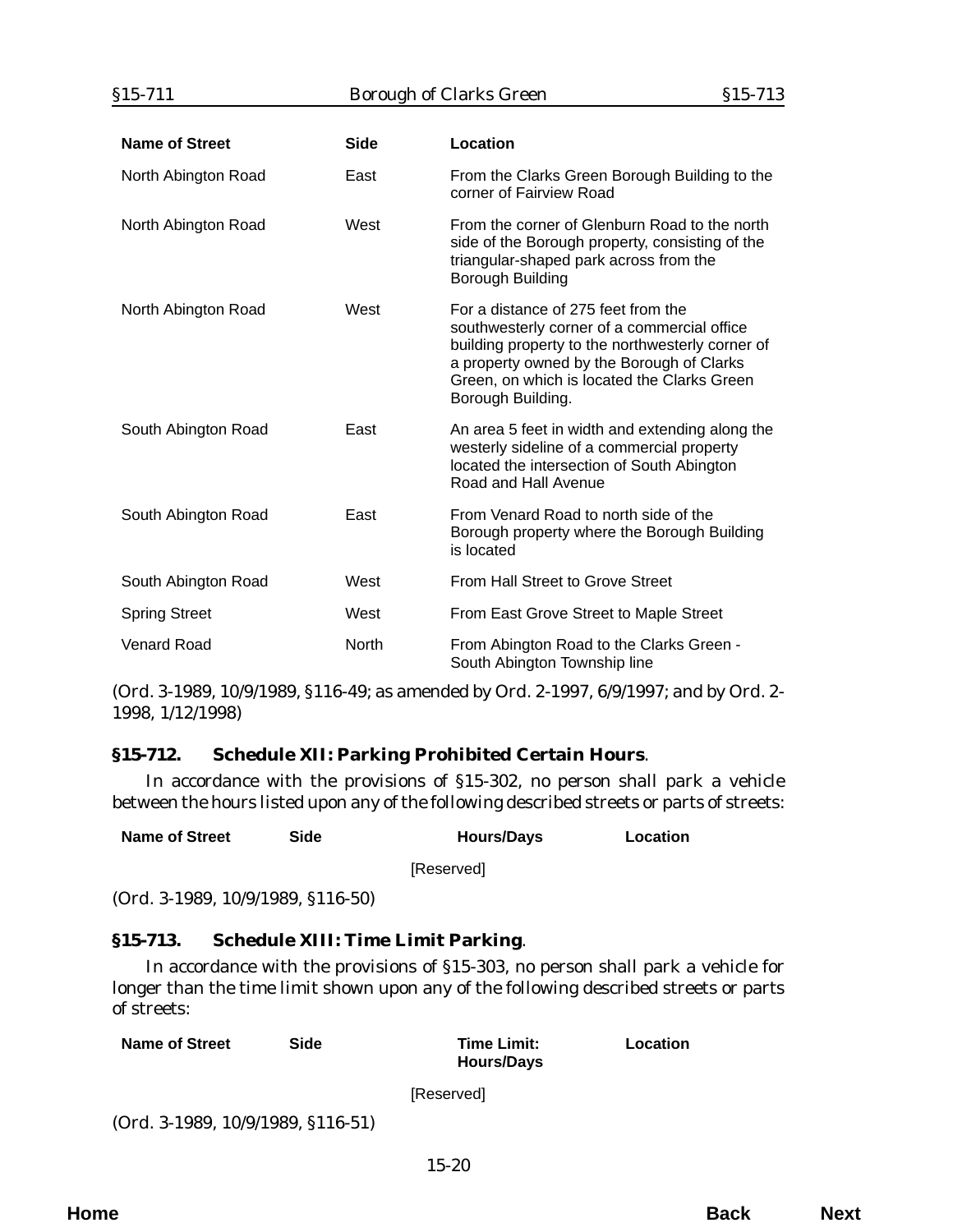<span id="page-19-0"></span>

| Name of Street       | <b>Side</b> | Location                                                                                                                                                                                                                                                |
|----------------------|-------------|---------------------------------------------------------------------------------------------------------------------------------------------------------------------------------------------------------------------------------------------------------|
| North Abington Road  | East        | From the Clarks Green Borough Building to the<br>corner of Fairview Road                                                                                                                                                                                |
| North Abington Road  | West        | From the corner of Glenburn Road to the north<br>side of the Borough property, consisting of the<br>triangular-shaped park across from the<br>Borough Building                                                                                          |
| North Abington Road  | West        | For a distance of 275 feet from the<br>southwesterly corner of a commercial office<br>building property to the northwesterly corner of<br>a property owned by the Borough of Clarks<br>Green, on which is located the Clarks Green<br>Borough Building. |
| South Abington Road  | East        | An area 5 feet in width and extending along the<br>westerly sideline of a commercial property<br>located the intersection of South Abington<br>Road and Hall Avenue                                                                                     |
| South Abington Road  | East        | From Venard Road to north side of the<br>Borough property where the Borough Building<br>is located                                                                                                                                                      |
| South Abington Road  | West        | From Hall Street to Grove Street                                                                                                                                                                                                                        |
| <b>Spring Street</b> | West        | From East Grove Street to Maple Street                                                                                                                                                                                                                  |
| <b>Venard Road</b>   | North       | From Abington Road to the Clarks Green -<br>South Abington Township line                                                                                                                                                                                |

(*Ord. 3-1989*, 10/9/1989, §116-49; as amended by *Ord. 2-1997*, 6/9/1997; and by *Ord. 2- 1998*, 1/12/1998)

# **§15-712. Schedule XII: Parking Prohibited Certain Hours**.

In accordance with the provisions of §15-302, no person shall park a vehicle between the hours listed upon any of the following described streets or parts of streets:

| <b>Name of Street</b> |  | Side | <b>Hours/Days</b> | Location |
|-----------------------|--|------|-------------------|----------|
|-----------------------|--|------|-------------------|----------|

[Reserved]

(*Ord. 3-1989*, 10/9/1989, §116-50)

#### **§15-713. Schedule XIII: Time Limit Parking**.

In accordance with the provisions of §15-303, no person shall park a vehicle for longer than the time limit shown upon any of the following described streets or parts of streets:

| <b>Name of Street</b> | Side |    | <b>Time Limit:</b><br><b>Hours/Days</b> | Location |
|-----------------------|------|----|-----------------------------------------|----------|
|                       |      | -- |                                         |          |

[Reserved]

(*Ord. 3-1989*, 10/9/1989, §116-51)